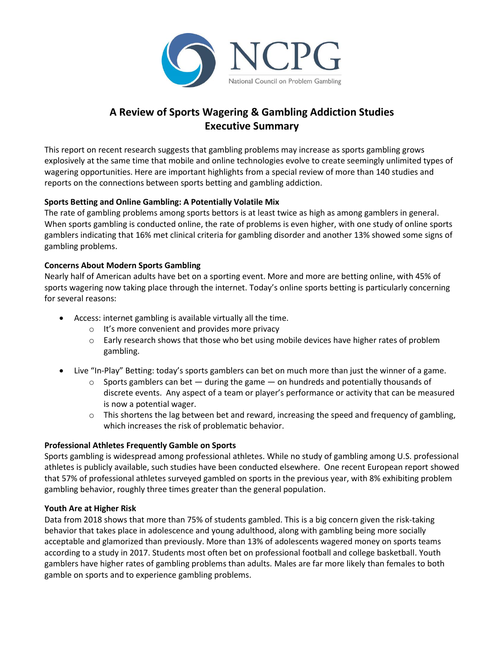

# **A Review of Sports Wagering & Gambling Addiction Studies Executive Summary**

This report on recent research suggests that gambling problems may increase as sports gambling grows explosively at the same time that mobile and online technologies evolve to create seemingly unlimited types of wagering opportunities. Here are important highlights from a special review of more than 140 studies and reports on the connections between sports betting and gambling addiction.

# **Sports Betting and Online Gambling: A Potentially Volatile Mix**

The rate of gambling problems among sports bettors is at least twice as high as among gamblers in general. When sports gambling is conducted online, the rate of problems is even higher, with one study of online sports gamblers indicating that 16% met clinical criteria for gambling disorder and another 13% showed some signs of gambling problems.

# **Concerns About Modern Sports Gambling**

Nearly half of American adults have bet on a sporting event. More and more are betting online, with 45% of sports wagering now taking place through the internet. Today's online sports betting is particularly concerning for several reasons:

- Access: internet gambling is available virtually all the time.
	- o It's more convenient and provides more privacy
	- $\circ$  Early research shows that those who bet using mobile devices have higher rates of problem gambling.
- Live "In-Play" Betting: today's sports gamblers can bet on much more than just the winner of a game.
	- $\circ$  Sports gamblers can bet  $-$  during the game  $-$  on hundreds and potentially thousands of discrete events. Any aspect of a team or player's performance or activity that can be measured is now a potential wager.
	- $\circ$  This shortens the lag between bet and reward, increasing the speed and frequency of gambling, which increases the risk of problematic behavior.

#### **Professional Athletes Frequently Gamble on Sports**

Sports gambling is widespread among professional athletes. While no study of gambling among U.S. professional athletes is publicly available, such studies have been conducted elsewhere. One recent European report showed that 57% of professional athletes surveyed gambled on sports in the previous year, with 8% exhibiting problem gambling behavior, roughly three times greater than the general population.

#### **Youth Are at Higher Risk**

Data from 2018 shows that more than 75% of students gambled. This is a big concern given the risk-taking behavior that takes place in adolescence and young adulthood, along with gambling being more socially acceptable and glamorized than previously. More than 13% of adolescents wagered money on sports teams according to a study in 2017. Students most often bet on professional football and college basketball. Youth gamblers have higher rates of gambling problems than adults. Males are far more likely than females to both gamble on sports and to experience gambling problems.